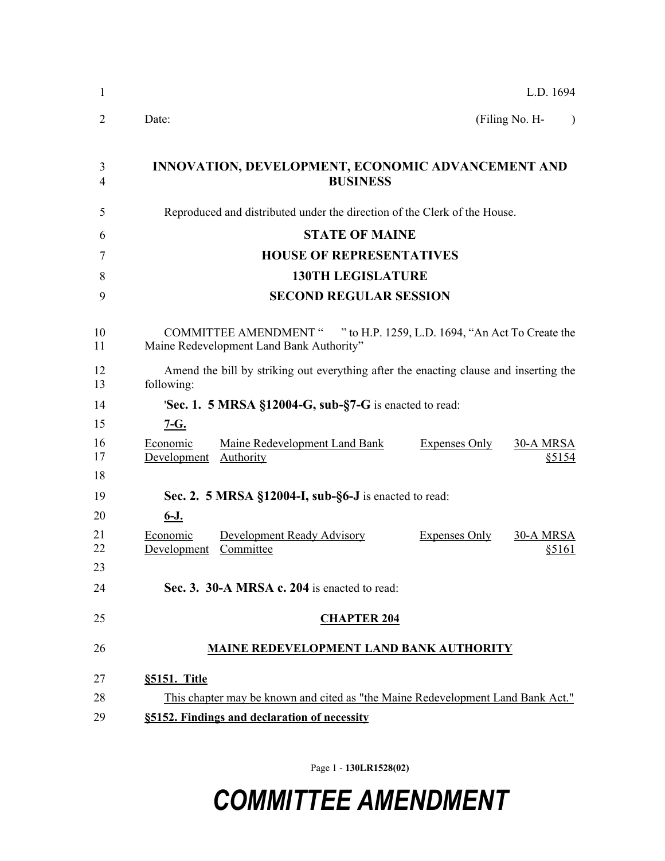| L.D. 1694                                                                                           |                                                |                                                         |                                                                                                                                                                                                                                                                                                                                                                                                                                                                                     |  |
|-----------------------------------------------------------------------------------------------------|------------------------------------------------|---------------------------------------------------------|-------------------------------------------------------------------------------------------------------------------------------------------------------------------------------------------------------------------------------------------------------------------------------------------------------------------------------------------------------------------------------------------------------------------------------------------------------------------------------------|--|
| Date:                                                                                               |                                                |                                                         | (Filing No. H-<br>$\lambda$                                                                                                                                                                                                                                                                                                                                                                                                                                                         |  |
|                                                                                                     |                                                |                                                         |                                                                                                                                                                                                                                                                                                                                                                                                                                                                                     |  |
|                                                                                                     |                                                |                                                         |                                                                                                                                                                                                                                                                                                                                                                                                                                                                                     |  |
|                                                                                                     |                                                |                                                         |                                                                                                                                                                                                                                                                                                                                                                                                                                                                                     |  |
|                                                                                                     |                                                |                                                         |                                                                                                                                                                                                                                                                                                                                                                                                                                                                                     |  |
|                                                                                                     |                                                |                                                         |                                                                                                                                                                                                                                                                                                                                                                                                                                                                                     |  |
| <b>SECOND REGULAR SESSION</b>                                                                       |                                                |                                                         |                                                                                                                                                                                                                                                                                                                                                                                                                                                                                     |  |
|                                                                                                     |                                                |                                                         |                                                                                                                                                                                                                                                                                                                                                                                                                                                                                     |  |
| Amend the bill by striking out everything after the enacting clause and inserting the<br>following: |                                                |                                                         |                                                                                                                                                                                                                                                                                                                                                                                                                                                                                     |  |
| <b>Sec. 1. 5 MRSA §12004-G, sub-§7-G</b> is enacted to read:                                        |                                                |                                                         |                                                                                                                                                                                                                                                                                                                                                                                                                                                                                     |  |
| $7-G.$                                                                                              |                                                |                                                         |                                                                                                                                                                                                                                                                                                                                                                                                                                                                                     |  |
| Economic                                                                                            | <b>Authority</b>                               | <b>Expenses Only</b>                                    | 30-A MRSA<br>\$5154                                                                                                                                                                                                                                                                                                                                                                                                                                                                 |  |
| 18<br>19                                                                                            |                                                |                                                         |                                                                                                                                                                                                                                                                                                                                                                                                                                                                                     |  |
| $6 - J$ .                                                                                           |                                                |                                                         |                                                                                                                                                                                                                                                                                                                                                                                                                                                                                     |  |
| Economic<br>Development                                                                             | <b>Development Ready Advisory</b><br>Committee | <b>Expenses Only</b>                                    | <b>30-A MRSA</b><br>\$5161                                                                                                                                                                                                                                                                                                                                                                                                                                                          |  |
|                                                                                                     |                                                |                                                         |                                                                                                                                                                                                                                                                                                                                                                                                                                                                                     |  |
|                                                                                                     |                                                |                                                         |                                                                                                                                                                                                                                                                                                                                                                                                                                                                                     |  |
| 26<br><b>MAINE REDEVELOPMENT LAND BANK AUTHORITY</b>                                                |                                                |                                                         |                                                                                                                                                                                                                                                                                                                                                                                                                                                                                     |  |
| §5151. Title                                                                                        |                                                |                                                         |                                                                                                                                                                                                                                                                                                                                                                                                                                                                                     |  |
| This chapter may be known and cited as "the Maine Redevelopment Land Bank Act."                     |                                                |                                                         |                                                                                                                                                                                                                                                                                                                                                                                                                                                                                     |  |
| §5152. Findings and declaration of necessity                                                        |                                                |                                                         |                                                                                                                                                                                                                                                                                                                                                                                                                                                                                     |  |
|                                                                                                     |                                                | Maine Redevelopment Land Bank Authority"<br>Development | INNOVATION, DEVELOPMENT, ECONOMIC ADVANCEMENT AND<br><b>BUSINESS</b><br>Reproduced and distributed under the direction of the Clerk of the House.<br><b>STATE OF MAINE</b><br><b>HOUSE OF REPRESENTATIVES</b><br><b>130TH LEGISLATURE</b><br>COMMITTEE AMENDMENT " " to H.P. 1259, L.D. 1694, "An Act To Create the<br>Maine Redevelopment Land Bank<br>Sec. 2. 5 MRSA §12004-I, sub-§6-J is enacted to read:<br>Sec. 3. 30-A MRSA c. 204 is enacted to read:<br><b>CHAPTER 204</b> |  |

Page 1 - **130LR1528(02)**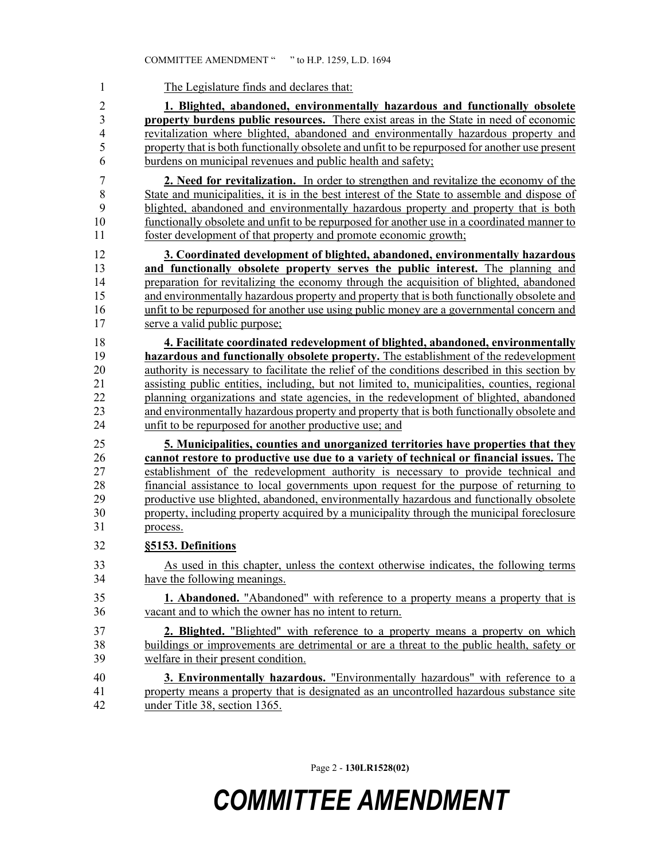| 1              | The Legislature finds and declares that:                                                       |
|----------------|------------------------------------------------------------------------------------------------|
| $\overline{2}$ | 1. Blighted, abandoned, environmentally hazardous and functionally obsolete                    |
| 3              | <b>property burdens public resources.</b> There exist areas in the State in need of economic   |
| $\overline{4}$ | revitalization where blighted, abandoned and environmentally hazardous property and            |
| 5              | property that is both functionally obsolete and unfit to be repurposed for another use present |
| 6              | burdens on municipal revenues and public health and safety;                                    |
| $\overline{7}$ | 2. Need for revitalization. In order to strengthen and revitalize the economy of the           |
| 8              | State and municipalities, it is in the best interest of the State to assemble and dispose of   |
| 9              | blighted, abandoned and environmentally hazardous property and property that is both           |
| 10             | functionally obsolete and unfit to be repurposed for another use in a coordinated manner to    |
| 11             | foster development of that property and promote economic growth;                               |
| 12             | 3. Coordinated development of blighted, abandoned, environmentally hazardous                   |
| 13             | and functionally obsolete property serves the public interest. The planning and                |
| 14             | preparation for revitalizing the economy through the acquisition of blighted, abandoned        |
| 15             | and environmentally hazardous property and property that is both functionally obsolete and     |
| 16             | unfit to be repurposed for another use using public money are a governmental concern and       |
| 17             | serve a valid public purpose;                                                                  |
| 18             | 4. Facilitate coordinated redevelopment of blighted, abandoned, environmentally                |
| 19             | hazardous and functionally obsolete property. The establishment of the redevelopment           |
| 20             | authority is necessary to facilitate the relief of the conditions described in this section by |
| 21             | assisting public entities, including, but not limited to, municipalities, counties, regional   |
| 22             | planning organizations and state agencies, in the redevelopment of blighted, abandoned         |
| 23             | and environmentally hazardous property and property that is both functionally obsolete and     |
| 24             | unfit to be repurposed for another productive use; and                                         |
| 25             | 5. Municipalities, counties and unorganized territories have properties that they              |
| 26             | cannot restore to productive use due to a variety of technical or financial issues. The        |
| 27             | establishment of the redevelopment authority is necessary to provide technical and             |
| 28             | financial assistance to local governments upon request for the purpose of returning to         |
| 29             | productive use blighted, abandoned, environmentally hazardous and functionally obsolete        |
| 30             | property, including property acquired by a municipality through the municipal foreclosure      |
| 31             | process.                                                                                       |
| 32             | §5153. Definitions                                                                             |
| 33             | As used in this chapter, unless the context otherwise indicates, the following terms           |
| 34             | have the following meanings.                                                                   |
| 35             | <b>1. Abandoned.</b> "Abandoned" with reference to a property means a property that is         |
| 36             | vacant and to which the owner has no intent to return.                                         |
| 37             | 2. Blighted. "Blighted" with reference to a property means a property on which                 |
| 38             | buildings or improvements are detrimental or are a threat to the public health, safety or      |
| 39             | welfare in their present condition.                                                            |
| 40             | 3. Environmentally hazardous. "Environmentally hazardous" with reference to a                  |
| 41             | property means a property that is designated as an uncontrolled hazardous substance site       |
| 42             | under Title 38, section 1365.                                                                  |

Page 2 - **130LR1528(02)**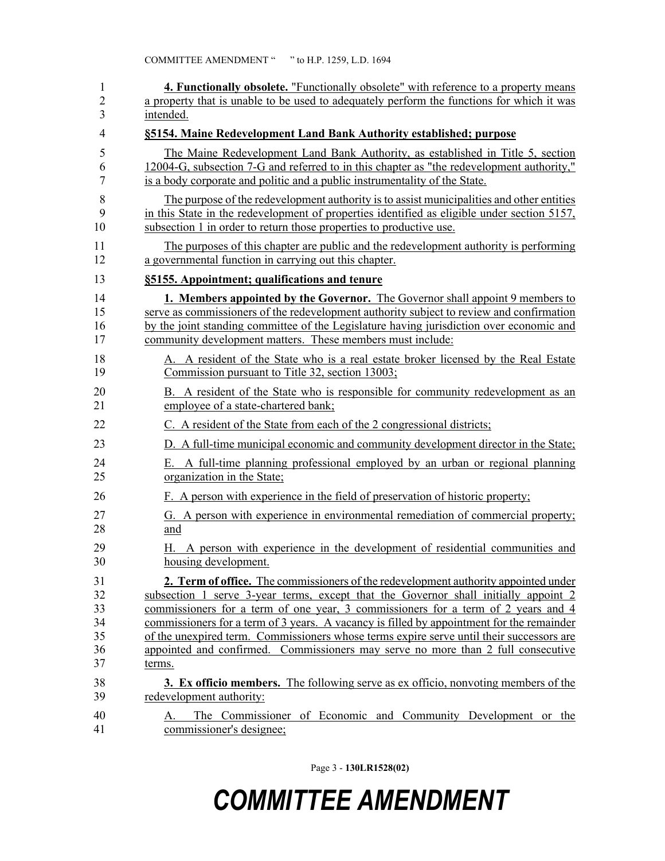| 1        | <b>4. Functionally obsolete.</b> "Functionally obsolete" with reference to a property means              |
|----------|----------------------------------------------------------------------------------------------------------|
| 2        | a property that is unable to be used to adequately perform the functions for which it was                |
| 3        | intended.                                                                                                |
| 4        | §5154. Maine Redevelopment Land Bank Authority established; purpose                                      |
| 5        | The Maine Redevelopment Land Bank Authority, as established in Title 5, section                          |
| 6        | 12004-G, subsection 7-G and referred to in this chapter as "the redevelopment authority,"                |
| 7        | is a body corporate and politic and a public instrumentality of the State.                               |
| 8        | The purpose of the redevelopment authority is to assist municipalities and other entities                |
| 9        | in this State in the redevelopment of properties identified as eligible under section 5157,              |
| 10       | subsection 1 in order to return those properties to productive use.                                      |
| 11       | The purposes of this chapter are public and the redevelopment authority is performing                    |
| 12       | a governmental function in carrying out this chapter.                                                    |
| 13       | §5155. Appointment; qualifications and tenure                                                            |
| 14       | <b>1. Members appointed by the Governor.</b> The Governor shall appoint 9 members to                     |
| 15       | serve as commissioners of the redevelopment authority subject to review and confirmation                 |
| 16       | by the joint standing committee of the Legislature having jurisdiction over economic and                 |
| 17       | community development matters. These members must include:                                               |
| 18       | A. A resident of the State who is a real estate broker licensed by the Real Estate                       |
| 19       | Commission pursuant to Title 32, section 13003;                                                          |
| 20       | B. A resident of the State who is responsible for community redevelopment as an                          |
| 21       | employee of a state-chartered bank;                                                                      |
| 22       | C. A resident of the State from each of the 2 congressional districts;                                   |
| 23       | D. A full-time municipal economic and community development director in the State;                       |
| 24       | E. A full-time planning professional employed by an urban or regional planning                           |
| 25       | organization in the State;                                                                               |
| 26       | F. A person with experience in the field of preservation of historic property;                           |
| 27       | G. A person with experience in environmental remediation of commercial property;                         |
| 28       | and                                                                                                      |
| 29<br>30 | A person with experience in the development of residential communities and<br>Н.<br>housing development. |
| 31       | <b>2. Term of office.</b> The commissioners of the redevelopment authority appointed under               |
| 32       | subsection 1 serve 3-year terms, except that the Governor shall initially appoint 2                      |
| 33       | commissioners for a term of one year, 3 commissioners for a term of 2 years and 4                        |
| 34       | commissioners for a term of 3 years. A vacancy is filled by appointment for the remainder                |
| 35       | of the unexpired term. Commissioners whose terms expire serve until their successors are                 |
| 36       | appointed and confirmed. Commissioners may serve no more than 2 full consecutive                         |
| 37       | terms.                                                                                                   |
| 38       | <b>3. Ex officio members.</b> The following serve as ex officio, nonvoting members of the                |
| 39       | redevelopment authority:                                                                                 |
| 40<br>41 | The Commissioner of Economic and Community Development or the<br>А.<br>commissioner's designee;          |

Page 3 - **130LR1528(02)**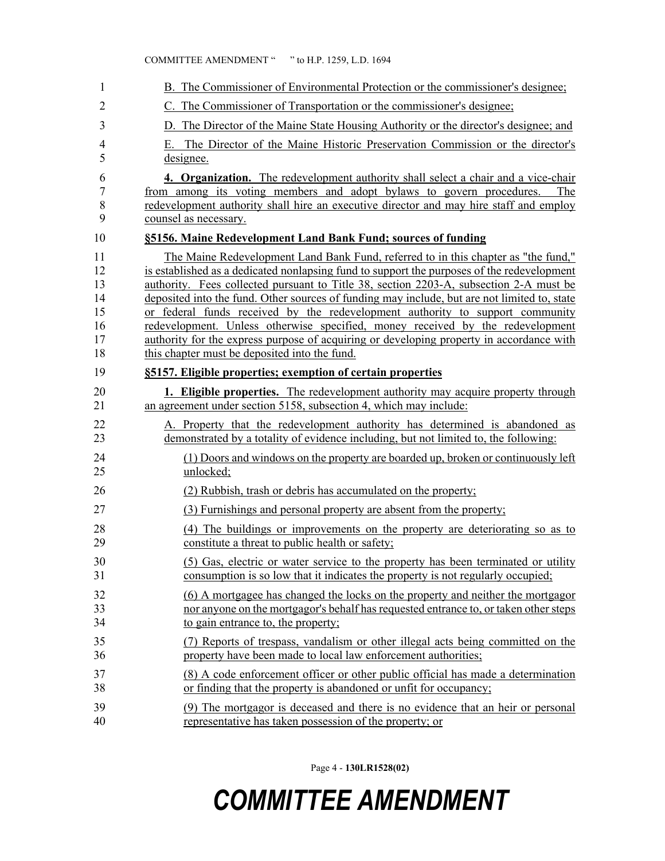| 1                | B. The Commissioner of Environmental Protection or the commissioner's designee;                                                                                                                                                                                                      |
|------------------|--------------------------------------------------------------------------------------------------------------------------------------------------------------------------------------------------------------------------------------------------------------------------------------|
| 2                | C. The Commissioner of Transportation or the commissioner's designee;                                                                                                                                                                                                                |
| 3                | D. The Director of the Maine State Housing Authority or the director's designee; and                                                                                                                                                                                                 |
| 4<br>5           | The Director of the Maine Historic Preservation Commission or the director's<br>Е.<br>designee.                                                                                                                                                                                      |
| 6<br>7<br>8<br>9 | 4. Organization. The redevelopment authority shall select a chair and a vice-chair<br>from among its voting members and adopt bylaws to govern procedures.<br>The<br>redevelopment authority shall hire an executive director and may hire staff and employ<br>counsel as necessary. |
| 10               | §5156. Maine Redevelopment Land Bank Fund; sources of funding                                                                                                                                                                                                                        |
| 11               | The Maine Redevelopment Land Bank Fund, referred to in this chapter as "the fund,"                                                                                                                                                                                                   |
| 12               | is established as a dedicated nonlapsing fund to support the purposes of the redevelopment                                                                                                                                                                                           |
| 13               | authority. Fees collected pursuant to Title 38, section 2203-A, subsection 2-A must be                                                                                                                                                                                               |
| 14               | deposited into the fund. Other sources of funding may include, but are not limited to, state                                                                                                                                                                                         |
| 15               | or federal funds received by the redevelopment authority to support community                                                                                                                                                                                                        |
| 16               | redevelopment. Unless otherwise specified, money received by the redevelopment                                                                                                                                                                                                       |
| 17               | authority for the express purpose of acquiring or developing property in accordance with                                                                                                                                                                                             |
| 18               | this chapter must be deposited into the fund.                                                                                                                                                                                                                                        |
| 19               | §5157. Eligible properties; exemption of certain properties                                                                                                                                                                                                                          |
| 20               | 1. Eligible properties. The redevelopment authority may acquire property through                                                                                                                                                                                                     |
| 21               | an agreement under section 5158, subsection 4, which may include:                                                                                                                                                                                                                    |
| 22               | A. Property that the redevelopment authority has determined is abandoned as                                                                                                                                                                                                          |
| 23               | demonstrated by a totality of evidence including, but not limited to, the following:                                                                                                                                                                                                 |
| 24               | (1) Doors and windows on the property are boarded up, broken or continuously left                                                                                                                                                                                                    |
| 25               | unlocked;                                                                                                                                                                                                                                                                            |
| 26               | (2) Rubbish, trash or debris has accumulated on the property;                                                                                                                                                                                                                        |
| 27               | (3) Furnishings and personal property are absent from the property;                                                                                                                                                                                                                  |
| 28               | (4) The buildings or improvements on the property are deteriorating so as to                                                                                                                                                                                                         |
| 29               | constitute a threat to public health or safety;                                                                                                                                                                                                                                      |
| 30               | (5) Gas, electric or water service to the property has been terminated or utility                                                                                                                                                                                                    |
| 31               | consumption is so low that it indicates the property is not regularly occupied;                                                                                                                                                                                                      |
| 32               | (6) A mortgagee has changed the locks on the property and neither the mortgagor                                                                                                                                                                                                      |
| 33               | nor anyone on the mortgagor's behalf has requested entrance to, or taken other steps                                                                                                                                                                                                 |
| 34               | to gain entrance to, the property;                                                                                                                                                                                                                                                   |
| 35               | (7) Reports of trespass, vandalism or other illegal acts being committed on the                                                                                                                                                                                                      |
| 36               | property have been made to local law enforcement authorities;                                                                                                                                                                                                                        |
| 37               | (8) A code enforcement officer or other public official has made a determination                                                                                                                                                                                                     |
| 38               | or finding that the property is abandoned or unfit for occupancy;                                                                                                                                                                                                                    |
| 39               | (9) The mortgagor is deceased and there is no evidence that an heir or personal                                                                                                                                                                                                      |
| 40               | representative has taken possession of the property; or                                                                                                                                                                                                                              |

Page 4 - **130LR1528(02)**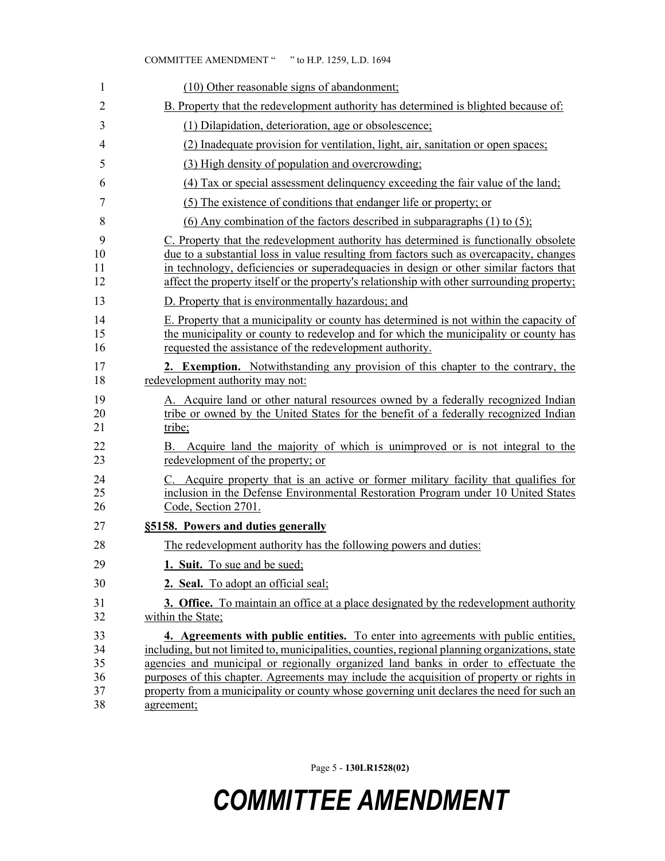| 1                                | (10) Other reasonable signs of abandonment;                                                                                                                                                                                                                                                                                                                                                                                                                                           |
|----------------------------------|---------------------------------------------------------------------------------------------------------------------------------------------------------------------------------------------------------------------------------------------------------------------------------------------------------------------------------------------------------------------------------------------------------------------------------------------------------------------------------------|
| $\overline{2}$                   | B. Property that the redevelopment authority has determined is blighted because of:                                                                                                                                                                                                                                                                                                                                                                                                   |
| 3                                | (1) Dilapidation, deterioration, age or obsolescence;                                                                                                                                                                                                                                                                                                                                                                                                                                 |
| 4                                | (2) Inadequate provision for ventilation, light, air, sanitation or open spaces;                                                                                                                                                                                                                                                                                                                                                                                                      |
| 5                                | (3) High density of population and overcrowding;                                                                                                                                                                                                                                                                                                                                                                                                                                      |
| 6                                | (4) Tax or special assessment delinquency exceeding the fair value of the land;                                                                                                                                                                                                                                                                                                                                                                                                       |
| 7                                | (5) The existence of conditions that endanger life or property; or                                                                                                                                                                                                                                                                                                                                                                                                                    |
| 8                                | (6) Any combination of the factors described in subparagraphs $(1)$ to $(5)$ ;                                                                                                                                                                                                                                                                                                                                                                                                        |
| 9<br>10<br>11<br>12              | C. Property that the redevelopment authority has determined is functionally obsolete<br>due to a substantial loss in value resulting from factors such as overcapacity, changes<br>in technology, deficiencies or superadequacies in design or other similar factors that<br>affect the property itself or the property's relationship with other surrounding property;                                                                                                               |
| 13                               | D. Property that is environmentally hazardous; and                                                                                                                                                                                                                                                                                                                                                                                                                                    |
| 14<br>15<br>16                   | E. Property that a municipality or county has determined is not within the capacity of<br>the municipality or county to redevelop and for which the municipality or county has<br>requested the assistance of the redevelopment authority.                                                                                                                                                                                                                                            |
| 17<br>18                         | <b>2. Exemption.</b> Notwithstanding any provision of this chapter to the contrary, the<br>redevelopment authority may not:                                                                                                                                                                                                                                                                                                                                                           |
| 19<br>20<br>21                   | A. Acquire land or other natural resources owned by a federally recognized Indian<br>tribe or owned by the United States for the benefit of a federally recognized Indian<br>tribe;                                                                                                                                                                                                                                                                                                   |
| 22<br>23                         | B. Acquire land the majority of which is unimproved or is not integral to the<br>redevelopment of the property; or                                                                                                                                                                                                                                                                                                                                                                    |
| 24<br>25<br>26                   | C. Acquire property that is an active or former military facility that qualifies for<br>inclusion in the Defense Environmental Restoration Program under 10 United States<br>Code, Section 2701.                                                                                                                                                                                                                                                                                      |
| 27                               | §5158. Powers and duties generally                                                                                                                                                                                                                                                                                                                                                                                                                                                    |
| 28                               | The redevelopment authority has the following powers and duties:                                                                                                                                                                                                                                                                                                                                                                                                                      |
| 29                               | 1. Suit. To sue and be sued;                                                                                                                                                                                                                                                                                                                                                                                                                                                          |
| 30                               | 2. Seal. To adopt an official seal;                                                                                                                                                                                                                                                                                                                                                                                                                                                   |
| 31<br>32                         | <b>3. Office.</b> To maintain an office at a place designated by the redevelopment authority<br>within the State;                                                                                                                                                                                                                                                                                                                                                                     |
| 33<br>34<br>35<br>36<br>37<br>38 | 4. Agreements with public entities. To enter into agreements with public entities,<br>including, but not limited to, municipalities, counties, regional planning organizations, state<br>agencies and municipal or regionally organized land banks in order to effectuate the<br>purposes of this chapter. Agreements may include the acquisition of property or rights in<br>property from a municipality or county whose governing unit declares the need for such an<br>agreement; |

Page 5 - **130LR1528(02)**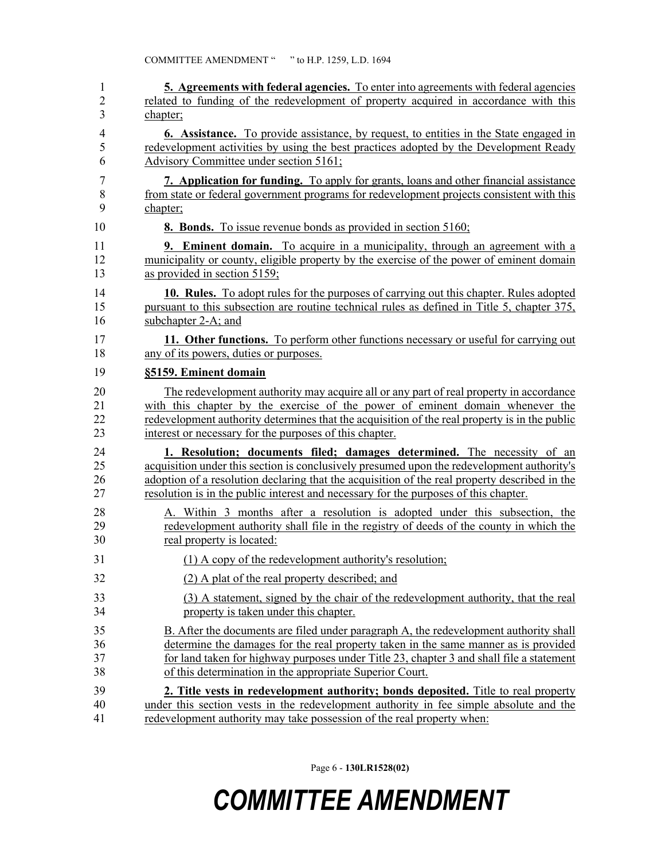| 1              | <b>5. Agreements with federal agencies.</b> To enter into agreements with federal agencies    |
|----------------|-----------------------------------------------------------------------------------------------|
| $\overline{c}$ | related to funding of the redevelopment of property acquired in accordance with this          |
| 3              | chapter;                                                                                      |
| 4              | 6. Assistance. To provide assistance, by request, to entities in the State engaged in         |
| 5              | redevelopment activities by using the best practices adopted by the Development Ready         |
| 6              | Advisory Committee under section 5161;                                                        |
| 7              | 7. Application for funding. To apply for grants, loans and other financial assistance         |
| 8              | from state or federal government programs for redevelopment projects consistent with this     |
| 9              | chapter;                                                                                      |
| 10             | <b>8. Bonds.</b> To issue revenue bonds as provided in section 5160;                          |
| 11             | <b>9. Eminent domain.</b> To acquire in a municipality, through an agreement with a           |
| 12             | municipality or county, eligible property by the exercise of the power of eminent domain      |
| 13             | as provided in section 5159;                                                                  |
| 14             | 10. Rules. To adopt rules for the purposes of carrying out this chapter. Rules adopted        |
| 15             | pursuant to this subsection are routine technical rules as defined in Title 5, chapter 375,   |
| 16             | subchapter 2-A; and                                                                           |
| 17             | 11. Other functions. To perform other functions necessary or useful for carrying out          |
| 18             | any of its powers, duties or purposes.                                                        |
| 19             | §5159. Eminent domain                                                                         |
| 20             | The redevelopment authority may acquire all or any part of real property in accordance        |
| 21             | with this chapter by the exercise of the power of eminent domain whenever the                 |
| 22             | redevelopment authority determines that the acquisition of the real property is in the public |
| 23             | interest or necessary for the purposes of this chapter.                                       |
| 24             | 1. Resolution; documents filed; damages determined. The necessity of an                       |
| 25             | acquisition under this section is conclusively presumed upon the redevelopment authority's    |
| 26             | adoption of a resolution declaring that the acquisition of the real property described in the |
| 27             | resolution is in the public interest and necessary for the purposes of this chapter.          |
| 28             | A. Within 3 months after a resolution is adopted under this subsection, the                   |
| 29             | redevelopment authority shall file in the registry of deeds of the county in which the        |
| 30             | real property is located:                                                                     |
| 31             | (1) A copy of the redevelopment authority's resolution;                                       |
| 32             | (2) A plat of the real property described; and                                                |
| 33             | (3) A statement, signed by the chair of the redevelopment authority, that the real            |
| 34             | property is taken under this chapter.                                                         |
| 35             | B. After the documents are filed under paragraph A, the redevelopment authority shall         |
| 36             | determine the damages for the real property taken in the same manner as is provided           |
| 37             | for land taken for highway purposes under Title 23, chapter 3 and shall file a statement      |
| 38             | of this determination in the appropriate Superior Court.                                      |
| 39             | 2. Title vests in redevelopment authority; bonds deposited. Title to real property            |
| 40             | under this section vests in the redevelopment authority in fee simple absolute and the        |
| 41             | redevelopment authority may take possession of the real property when:                        |

Page 6 - **130LR1528(02)**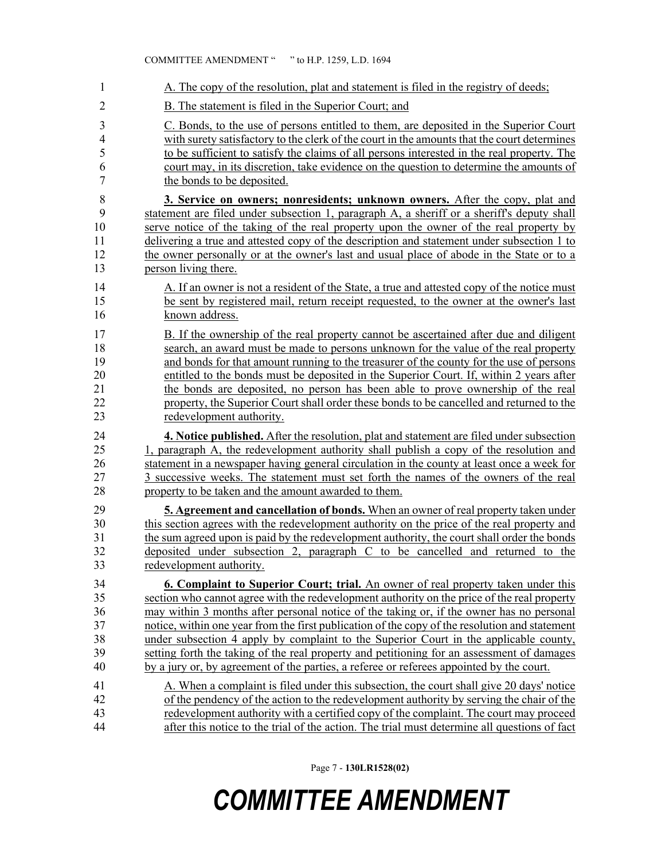| 1              | A. The copy of the resolution, plat and statement is filed in the registry of deeds;           |
|----------------|------------------------------------------------------------------------------------------------|
| $\overline{2}$ | B. The statement is filed in the Superior Court; and                                           |
| 3              | C. Bonds, to the use of persons entitled to them, are deposited in the Superior Court          |
| $\overline{4}$ | with surety satisfactory to the clerk of the court in the amounts that the court determines    |
| 5              | to be sufficient to satisfy the claims of all persons interested in the real property. The     |
| 6              | court may, in its discretion, take evidence on the question to determine the amounts of        |
| $\overline{7}$ | the bonds to be deposited.                                                                     |
| 8              | 3. Service on owners; nonresidents; unknown owners. After the copy, plat and                   |
| 9              | statement are filed under subsection 1, paragraph A, a sheriff or a sheriff's deputy shall     |
| 10             | serve notice of the taking of the real property upon the owner of the real property by         |
| 11             | delivering a true and attested copy of the description and statement under subsection 1 to     |
| 12             | the owner personally or at the owner's last and usual place of abode in the State or to a      |
| 13             | person living there.                                                                           |
| 14             | A. If an owner is not a resident of the State, a true and attested copy of the notice must     |
| 15             | be sent by registered mail, return receipt requested, to the owner at the owner's last         |
| 16             | known address.                                                                                 |
| 17             | B. If the ownership of the real property cannot be ascertained after due and diligent          |
| 18             | search, an award must be made to persons unknown for the value of the real property            |
| 19             | and bonds for that amount running to the treasurer of the county for the use of persons        |
| 20             | entitled to the bonds must be deposited in the Superior Court. If, within 2 years after        |
| 21             | the bonds are deposited, no person has been able to prove ownership of the real                |
| 22             | property, the Superior Court shall order these bonds to be cancelled and returned to the       |
| 23             | redevelopment authority.                                                                       |
| 24             | 4. Notice published. After the resolution, plat and statement are filed under subsection       |
| 25             | 1, paragraph A, the redevelopment authority shall publish a copy of the resolution and         |
| 26             | statement in a newspaper having general circulation in the county at least once a week for     |
| 27             | 3 successive weeks. The statement must set forth the names of the owners of the real           |
| 28             | property to be taken and the amount awarded to them.                                           |
| 29             | <b>5. Agreement and cancellation of bonds.</b> When an owner of real property taken under      |
| 30             | this section agrees with the redevelopment authority on the price of the real property and     |
| 31             | the sum agreed upon is paid by the redevelopment authority, the court shall order the bonds    |
| 32             | deposited under subsection 2, paragraph C to be cancelled and returned to the                  |
| 33             | redevelopment authority.                                                                       |
| 34             | <b>6. Complaint to Superior Court; trial.</b> An owner of real property taken under this       |
| 35             | section who cannot agree with the redevelopment authority on the price of the real property    |
| 36             | may within 3 months after personal notice of the taking or, if the owner has no personal       |
| 37             | notice, within one year from the first publication of the copy of the resolution and statement |
| 38             | under subsection 4 apply by complaint to the Superior Court in the applicable county,          |
| 39             | setting forth the taking of the real property and petitioning for an assessment of damages     |
| 40             | by a jury or, by agreement of the parties, a referee or referees appointed by the court.       |
| 41             | A. When a complaint is filed under this subsection, the court shall give 20 days' notice       |
| 42             | of the pendency of the action to the redevelopment authority by serving the chair of the       |
| 43             | redevelopment authority with a certified copy of the complaint. The court may proceed          |
| 44             | after this notice to the trial of the action. The trial must determine all questions of fact   |

Page 7 - **130LR1528(02)**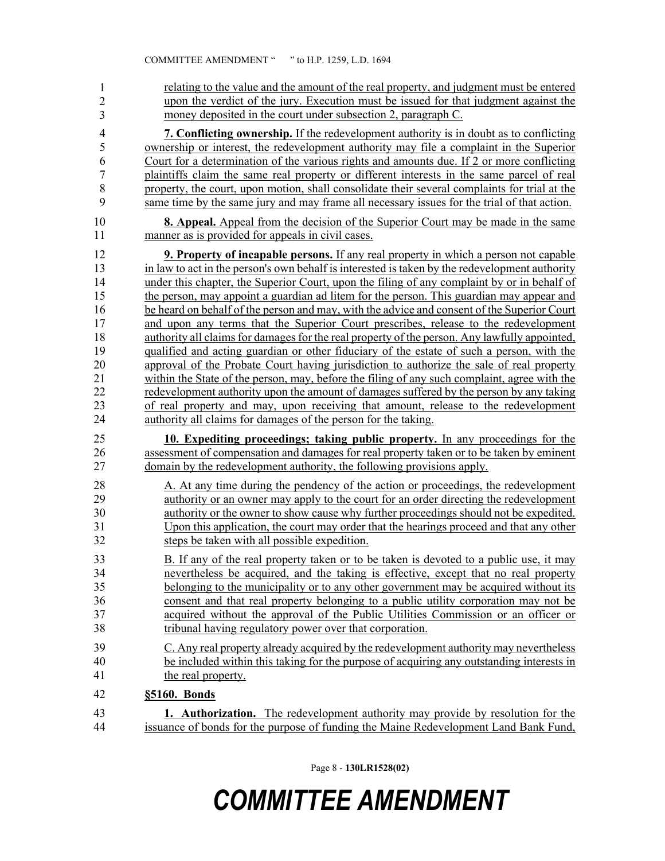| 1              | relating to the value and the amount of the real property, and judgment must be entered        |
|----------------|------------------------------------------------------------------------------------------------|
| $\overline{2}$ | upon the verdict of the jury. Execution must be issued for that judgment against the           |
| 3              | money deposited in the court under subsection 2, paragraph C.                                  |
| $\overline{4}$ | 7. Conflicting ownership. If the redevelopment authority is in doubt as to conflicting         |
| 5              | ownership or interest, the redevelopment authority may file a complaint in the Superior        |
| 6              | Court for a determination of the various rights and amounts due. If 2 or more conflicting      |
| $\overline{7}$ | plaintiffs claim the same real property or different interests in the same parcel of real      |
| 8              | property, the court, upon motion, shall consolidate their several complaints for trial at the  |
| 9              | same time by the same jury and may frame all necessary issues for the trial of that action.    |
| 10             | <b>8. Appeal.</b> Appeal from the decision of the Superior Court may be made in the same       |
| 11             | manner as is provided for appeals in civil cases.                                              |
| 12             | <b>9. Property of incapable persons.</b> If any real property in which a person not capable    |
| 13             | in law to act in the person's own behalf is interested is taken by the redevelopment authority |
| 14             | under this chapter, the Superior Court, upon the filing of any complaint by or in behalf of    |
| 15             | the person, may appoint a guardian ad litem for the person. This guardian may appear and       |
| 16             | be heard on behalf of the person and may, with the advice and consent of the Superior Court    |
| 17             | and upon any terms that the Superior Court prescribes, release to the redevelopment            |
| 18             | authority all claims for damages for the real property of the person. Any lawfully appointed,  |
| 19             | qualified and acting guardian or other fiduciary of the estate of such a person, with the      |
| 20             | approval of the Probate Court having jurisdiction to authorize the sale of real property       |
| 21             | within the State of the person, may, before the filing of any such complaint, agree with the   |
| 22             | redevelopment authority upon the amount of damages suffered by the person by any taking        |
| 23             | of real property and may, upon receiving that amount, release to the redevelopment             |
| 24             | authority all claims for damages of the person for the taking.                                 |
| 25             | 10. Expediting proceedings; taking public property. In any proceedings for the                 |
| 26             | assessment of compensation and damages for real property taken or to be taken by eminent       |
| 27             | domain by the redevelopment authority, the following provisions apply.                         |
| 28             | A. At any time during the pendency of the action or proceedings, the redevelopment             |
| 29             | authority or an owner may apply to the court for an order directing the redevelopment          |
| 30             | authority or the owner to show cause why further proceedings should not be expedited.          |
| 31             | Upon this application, the court may order that the hearings proceed and that any other        |
| 32             | steps be taken with all possible expedition.                                                   |
| 33             | B. If any of the real property taken or to be taken is devoted to a public use, it may         |
| 34             | nevertheless be acquired, and the taking is effective, except that no real property            |
| 35             | belonging to the municipality or to any other government may be acquired without its           |
| 36             | consent and that real property belonging to a public utility corporation may not be            |
| 37             | acquired without the approval of the Public Utilities Commission or an officer or              |
| 38             | tribunal having regulatory power over that corporation.                                        |
| 39             | C. Any real property already acquired by the redevelopment authority may nevertheless          |
| 40             | be included within this taking for the purpose of acquiring any outstanding interests in       |
| 41             | the real property.                                                                             |
| 42             | §5160. Bonds                                                                                   |
| 43             | <b>1. Authorization.</b> The redevelopment authority may provide by resolution for the         |
| 44             | issuance of bonds for the purpose of funding the Maine Redevelopment Land Bank Fund,           |

Page 8 - **130LR1528(02)**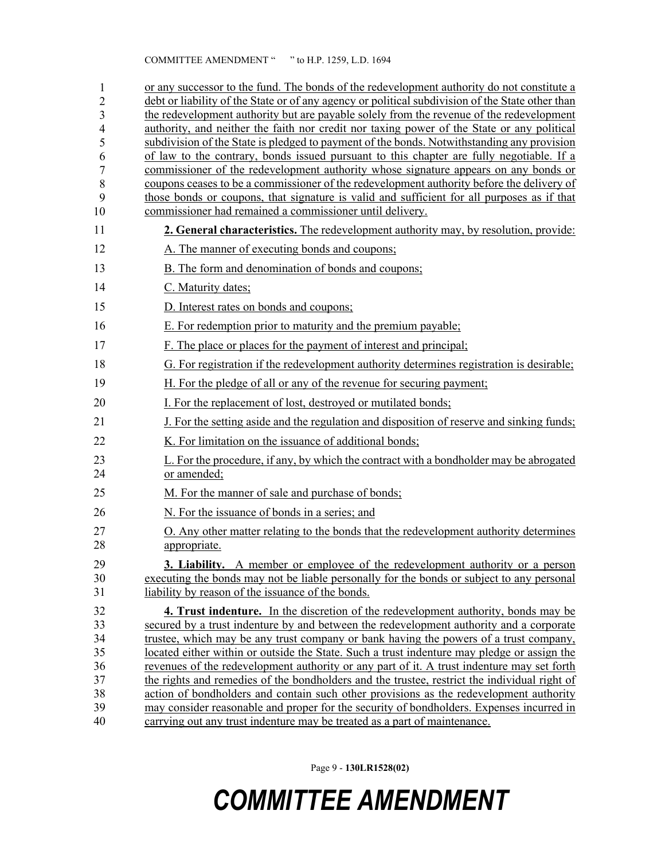| 1              | or any successor to the fund. The bonds of the redevelopment authority do not constitute a                                                                                             |
|----------------|----------------------------------------------------------------------------------------------------------------------------------------------------------------------------------------|
| $\overline{c}$ | debt or liability of the State or of any agency or political subdivision of the State other than                                                                                       |
| 3              | the redevelopment authority but are payable solely from the revenue of the redevelopment<br>authority, and neither the faith nor credit nor taxing power of the State or any political |
| 4<br>5         | subdivision of the State is pledged to payment of the bonds. Notwithstanding any provision                                                                                             |
| 6              | of law to the contrary, bonds issued pursuant to this chapter are fully negotiable. If a                                                                                               |
| 7              | commissioner of the redevelopment authority whose signature appears on any bonds or                                                                                                    |
| 8              | coupons ceases to be a commissioner of the redevelopment authority before the delivery of                                                                                              |
| 9              | those bonds or coupons, that signature is valid and sufficient for all purposes as if that                                                                                             |
| 10             | commissioner had remained a commissioner until delivery.                                                                                                                               |
| 11             | <b>2. General characteristics.</b> The redevelopment authority may, by resolution, provide:                                                                                            |
| 12             | A. The manner of executing bonds and coupons;                                                                                                                                          |
| 13             | B. The form and denomination of bonds and coupons;                                                                                                                                     |
| 14             | C. Maturity dates;                                                                                                                                                                     |
| 15             | D. Interest rates on bonds and coupons;                                                                                                                                                |
| 16             | E. For redemption prior to maturity and the premium payable;                                                                                                                           |
| 17             | F. The place or places for the payment of interest and principal;                                                                                                                      |
| 18             | G. For registration if the redevelopment authority determines registration is desirable;                                                                                               |
| 19             | H. For the pledge of all or any of the revenue for securing payment;                                                                                                                   |
| 20             | I. For the replacement of lost, destroyed or mutilated bonds;                                                                                                                          |
| 21             | J. For the setting aside and the regulation and disposition of reserve and sinking funds;                                                                                              |
| 22             | K. For limitation on the issuance of additional bonds;                                                                                                                                 |
| 23<br>24       | L. For the procedure, if any, by which the contract with a bondholder may be abrogated<br>or amended;                                                                                  |
| 25             | M. For the manner of sale and purchase of bonds;                                                                                                                                       |
| 26             | N. For the issuance of bonds in a series; and                                                                                                                                          |
| 27<br>28       | O. Any other matter relating to the bonds that the redevelopment authority determines<br>appropriate.                                                                                  |
|                |                                                                                                                                                                                        |
| 29<br>30       | 3. Liability. A member or employee of the redevelopment authority or a person<br>executing the bonds may not be liable personally for the bonds or subject to any personal             |
| 31             | liability by reason of the issuance of the bonds.                                                                                                                                      |
| 32             | 4. Trust indenture. In the discretion of the redevelopment authority, bonds may be                                                                                                     |
| 33             | secured by a trust indenture by and between the redevelopment authority and a corporate                                                                                                |
| 34             | trustee, which may be any trust company or bank having the powers of a trust company,                                                                                                  |
| 35             | located either within or outside the State. Such a trust indenture may pledge or assign the                                                                                            |
| 36             | revenues of the redevelopment authority or any part of it. A trust indenture may set forth                                                                                             |
| 37             | the rights and remedies of the bondholders and the trustee, restrict the individual right of                                                                                           |
| 38             | action of bondholders and contain such other provisions as the redevelopment authority                                                                                                 |
| 39             | may consider reasonable and proper for the security of bondholders. Expenses incurred in                                                                                               |
| 40             | carrying out any trust indenture may be treated as a part of maintenance.                                                                                                              |

Page 9 - **130LR1528(02)**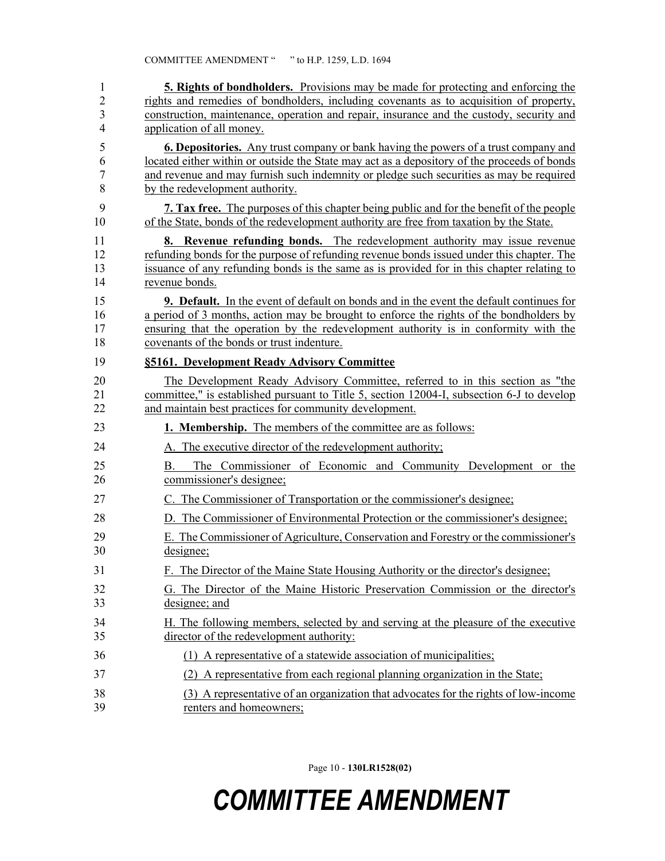| 1              | <b>5. Rights of bondholders.</b> Provisions may be made for protecting and enforcing the        |
|----------------|-------------------------------------------------------------------------------------------------|
| $\overline{2}$ | rights and remedies of bondholders, including covenants as to acquisition of property,          |
| 3              | construction, maintenance, operation and repair, insurance and the custody, security and        |
| $\overline{4}$ | application of all money.                                                                       |
| 5              | <b>6. Depositories.</b> Any trust company or bank having the powers of a trust company and      |
| 6              | located either within or outside the State may act as a depository of the proceeds of bonds     |
| 7              | and revenue and may furnish such indemnity or pledge such securities as may be required         |
| 8              | by the redevelopment authority.                                                                 |
| 9              | <b>7. Tax free.</b> The purposes of this chapter being public and for the benefit of the people |
| 10             | of the State, bonds of the redevelopment authority are free from taxation by the State.         |
| 11             | <b>8. Revenue refunding bonds.</b> The redevelopment authority may issue revenue                |
| 12             | refunding bonds for the purpose of refunding revenue bonds issued under this chapter. The       |
| 13             | issuance of any refunding bonds is the same as is provided for in this chapter relating to      |
| 14             | revenue bonds.                                                                                  |
| 15             | <b>9. Default.</b> In the event of default on bonds and in the event the default continues for  |
| 16             | a period of 3 months, action may be brought to enforce the rights of the bondholders by         |
| 17             | ensuring that the operation by the redevelopment authority is in conformity with the            |
| 18             | covenants of the bonds or trust indenture.                                                      |
| 19             | §5161. Development Ready Advisory Committee                                                     |
| 20             | The Development Ready Advisory Committee, referred to in this section as "the                   |
| 21             | committee," is established pursuant to Title 5, section 12004-I, subsection 6-J to develop      |
| 22             | and maintain best practices for community development.                                          |
| 23             | 1. Membership. The members of the committee are as follows:                                     |
| 24             | A. The executive director of the redevelopment authority;                                       |
| 25<br>26       | The Commissioner of Economic and Community Development or the<br>Β.<br>commissioner's designee; |
| 27             | C. The Commissioner of Transportation or the commissioner's designee;                           |
| 28             | D. The Commissioner of Environmental Protection or the commissioner's designee;                 |
| 29             | E. The Commissioner of Agriculture, Conservation and Forestry or the commissioner's             |
| 30             | designee;                                                                                       |
| 31             | F. The Director of the Maine State Housing Authority or the director's designee;                |
| 32             | G. The Director of the Maine Historic Preservation Commission or the director's                 |
| 33             | designee; and                                                                                   |
| 34             | H. The following members, selected by and serving at the pleasure of the executive              |
| 35             | director of the redevelopment authority:                                                        |
| 36             | (1) A representative of a statewide association of municipalities;                              |
| 37             | (2) A representative from each regional planning organization in the State;                     |
| 38             | (3) A representative of an organization that advocates for the rights of low-income             |
| 39             | renters and homeowners;                                                                         |

Page 10 - **130LR1528(02)**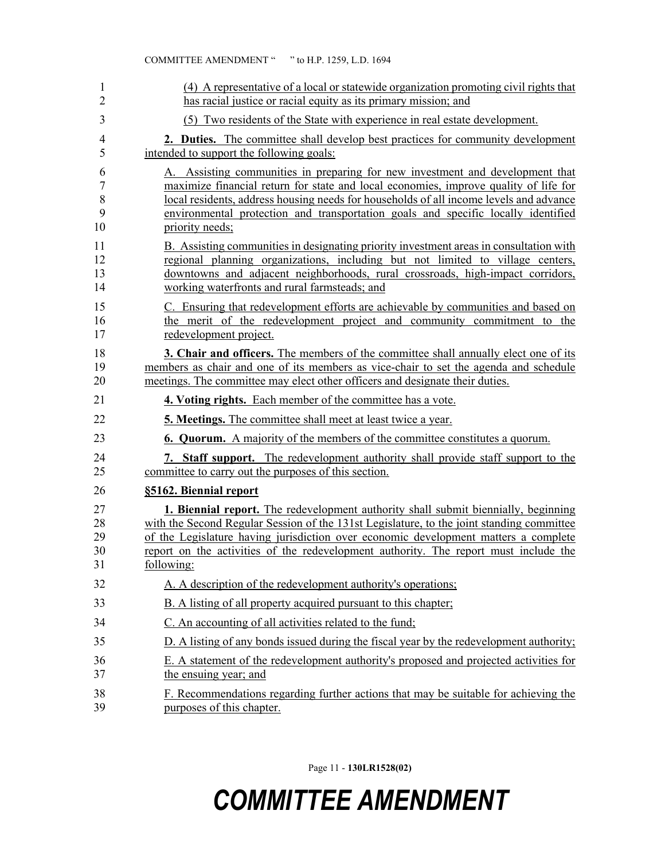|                | COMMITTEE AMENDMENT " " to H.P. 1259, L.D. 1694                                           |
|----------------|-------------------------------------------------------------------------------------------|
| 1              | (4) A representative of a local or statewide organization promoting civil rights that     |
| $\overline{2}$ | has racial justice or racial equity as its primary mission; and                           |
| 3              | (5) Two residents of the State with experience in real estate development.                |
| 4              | <b>2. Duties.</b> The committee shall develop best practices for community development    |
| 5              | intended to support the following goals:                                                  |
| 6              | A. Assisting communities in preparing for new investment and development that             |
| 7              | maximize financial return for state and local economies, improve quality of life for      |
| $8\,$          | local residents, address housing needs for households of all income levels and advance    |
| 9              | environmental protection and transportation goals and specific locally identified         |
| 10             | priority needs;                                                                           |
| 11             | B. Assisting communities in designating priority investment areas in consultation with    |
| 12             | regional planning organizations, including but not limited to village centers,            |
| 13             | downtowns and adjacent neighborhoods, rural crossroads, high-impact corridors,            |
| 14             | working waterfronts and rural farmsteads; and                                             |
| 15             | C. Ensuring that redevelopment efforts are achievable by communities and based on         |
| 16             | the merit of the redevelopment project and community commitment to the                    |
| 17             | redevelopment project.                                                                    |
| 18             | 3. Chair and officers. The members of the committee shall annually elect one of its       |
| 19             | members as chair and one of its members as vice-chair to set the agenda and schedule      |
| 20             | meetings. The committee may elect other officers and designate their duties.              |
| 21             | 4. Voting rights. Each member of the committee has a vote.                                |
| 22             | <b>5. Meetings.</b> The committee shall meet at least twice a year.                       |
| 23             | <b>6. Quorum.</b> A majority of the members of the committee constitutes a quorum.        |
| 24             | 7. Staff support. The redevelopment authority shall provide staff support to the          |
| 25             | committee to carry out the purposes of this section.                                      |
| 26             | §5162. Biennial report                                                                    |
| 27             | <b>1. Biennial report.</b> The redevelopment authority shall submit biennially, beginning |
| 28             | with the Second Regular Session of the 131st Legislature, to the joint standing committee |
| 29             | of the Legislature having jurisdiction over economic development matters a complete       |
| 30             | report on the activities of the redevelopment authority. The report must include the      |
| 31             | following:                                                                                |
| 32             | A. A description of the redevelopment authority's operations;                             |
| 33             | B. A listing of all property acquired pursuant to this chapter.                           |
| 34             | C. An accounting of all activities related to the fund;                                   |
| 35             | D. A listing of any bonds issued during the fiscal year by the redevelopment authority;   |
| 36             | E. A statement of the redevelopment authority's proposed and projected activities for     |
| 37             | the ensuing year; and                                                                     |
| 38             | F. Recommendations regarding further actions that may be suitable for achieving the       |
| 39             | purposes of this chapter.                                                                 |

Page 11 - **130LR1528(02)**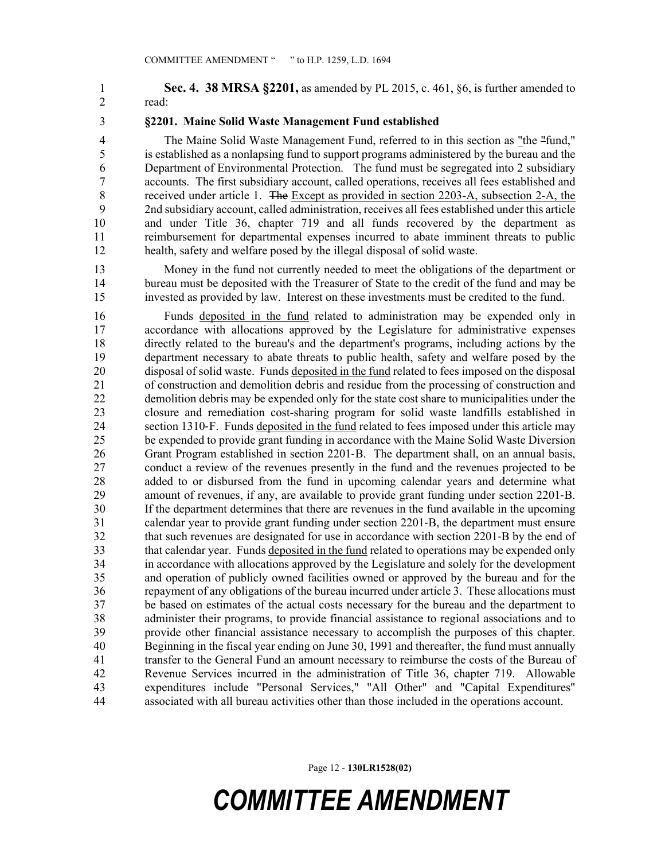1 **Sec. 4. 38 MRSA §2201,** as amended by PL 2015, c. 461, §6, is further amended to 2 read:

#### 3 **§2201. Maine Solid Waste Management Fund established**

4 The Maine Solid Waste Management Fund, referred to in this section as "the "fund," 5 is established as a nonlapsing fund to support programs administered by the bureau and the 6 Department of Environmental Protection. The fund must be segregated into 2 subsidiary 7 accounts. The first subsidiary account, called operations, receives all fees established and<br>8 received under article 1. The Except as provided in section 2203-A, subsection 2-A, the received under article 1. The Except as provided in section 2203-A, subsection 2-A, the 9 2nd subsidiary account, called administration, receives all fees established under this article 10 and under Title 36, chapter 719 and all funds recovered by the department as 11 reimbursement for departmental expenses incurred to abate imminent threats to public 12 health, safety and welfare posed by the illegal disposal of solid waste.

13 Money in the fund not currently needed to meet the obligations of the department or 14 bureau must be deposited with the Treasurer of State to the credit of the fund and may be 15 invested as provided by law. Interest on these investments must be credited to the fund.

16 Funds deposited in the fund related to administration may be expended only in 17 accordance with allocations approved by the Legislature for administrative expenses 18 directly related to the bureau's and the department's programs, including actions by the 19 department necessary to abate threats to public health, safety and welfare posed by the 20 disposal of solid waste. Funds deposited in the fund related to fees imposed on the disposal 21 of construction and demolition debris and residue from the processing of construction and 22 demolition debris may be expended only for the state cost share to municipalities under the 23 closure and remediation cost-sharing program for solid waste landfills established in 24 section 1310‑F. Funds deposited in the fund related to fees imposed under this article may 25 be expended to provide grant funding in accordance with the Maine Solid Waste Diversion 26 Grant Program established in section 2201-B. The department shall, on an annual basis, 27 conduct a review of the revenues presently in the fund and the revenues projected to be 28 added to or disbursed from the fund in upcoming calendar years and determine what 29 amount of revenues, if any, are available to provide grant funding under section 2201‑B. 30 If the department determines that there are revenues in the fund available in the upcoming 31 calendar year to provide grant funding under section 2201‑B, the department must ensure 32 that such revenues are designated for use in accordance with section 2201‑B by the end of 33 that calendar year. Funds deposited in the fund related to operations may be expended only 34 in accordance with allocations approved by the Legislature and solely for the development 35 and operation of publicly owned facilities owned or approved by the bureau and for the 36 repayment of any obligations of the bureau incurred under article 3. These allocations must 37 be based on estimates of the actual costs necessary for the bureau and the department to 38 administer their programs, to provide financial assistance to regional associations and to 39 provide other financial assistance necessary to accomplish the purposes of this chapter. 40 Beginning in the fiscal year ending on June 30, 1991 and thereafter, the fund must annually 41 transfer to the General Fund an amount necessary to reimburse the costs of the Bureau of 42 Revenue Services incurred in the administration of Title 36, chapter 719. Allowable 43 expenditures include "Personal Services," "All Other" and "Capital Expenditures" 44 associated with all bureau activities other than those included in the operations account.

Page 12 - **130LR1528(02)**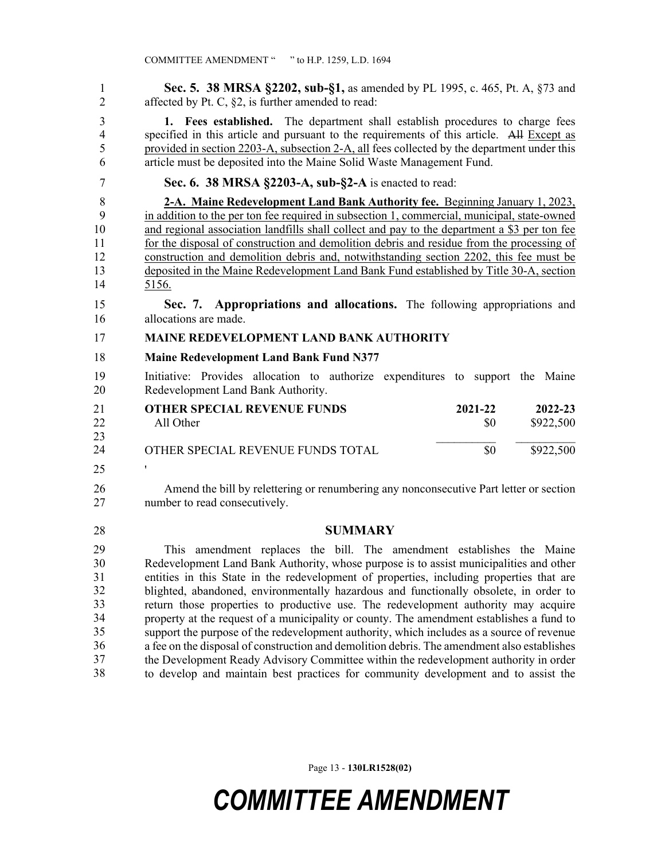1 **Sec. 5. 38 MRSA §2202, sub-§1,** as amended by PL 1995, c. 465, Pt. A, §73 and 2 affected by Pt. C, §2, is further amended to read:

3 **1. Fees established.** The department shall establish procedures to charge fees 4 specified in this article and pursuant to the requirements of this article. All Except as 5 provided in section 2203-A, subsection 2-A, all fees collected by the department under this 6 article must be deposited into the Maine Solid Waste Management Fund.

#### 7 **Sec. 6. 38 MRSA §2203-A, sub-§2-A** is enacted to read:

8 **2-A. Maine Redevelopment Land Bank Authority fee.** Beginning January 1, 2023, 9 in addition to the per ton fee required in subsection 1, commercial, municipal, state-owned 10 and regional association landfills shall collect and pay to the department a \$3 per ton fee 11 for the disposal of construction and demolition debris and residue from the processing of 12 construction and demolition debris and, notwithstanding section 2202, this fee must be 13 deposited in the Maine Redevelopment Land Bank Fund established by Title 30-A, section 14 5156.

15 **Sec. 7. Appropriations and allocations.** The following appropriations and 16 allocations are made.

#### 17 **MAINE REDEVELOPMENT LAND BANK AUTHORITY**

18 **Maine Redevelopment Land Bank Fund N377**

19 Initiative: Provides allocation to authorize expenditures to support the Maine 20 Redevelopment Land Bank Authority.

| 21 | <b>OTHER SPECIAL REVENUE FUNDS</b> | 2021-22 | 2022-23   |
|----|------------------------------------|---------|-----------|
| 22 | All Other                          | \$0     | \$922,500 |
| 23 |                                    |         |           |
| 24 | OTHER SPECIAL REVENUE FUNDS TOTAL  | \$0     | \$922,500 |
|    |                                    |         |           |

25 '

26 Amend the bill by relettering or renumbering any nonconsecutive Part letter or section 27 number to read consecutively.

28 **SUMMARY**

This amendment replaces the bill. The amendment establishes the Maine Redevelopment Land Bank Authority, whose purpose is to assist municipalities and other entities in this State in the redevelopment of properties, including properties that are blighted, abandoned, environmentally hazardous and functionally obsolete, in order to return those properties to productive use. The redevelopment authority may acquire property at the request of a municipality or county. The amendment establishes a fund to support the purpose of the redevelopment authority, which includes as a source of revenue a fee on the disposal of construction and demolition debris. The amendment also establishes the Development Ready Advisory Committee within the redevelopment authority in order 38 to develop and maintain best practices for community development and to assist the 29 30 31 32 33 34 35 36 37 38

Page 13 - **130LR1528(02)**